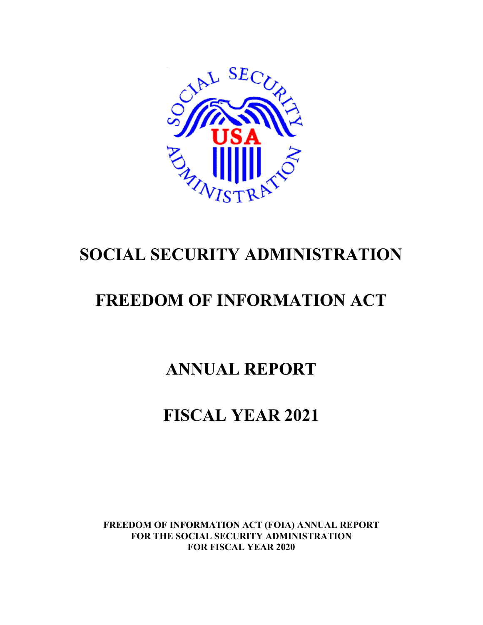

# **SOCIAL SECURITY ADMINISTRATION**

# **FREEDOM OF INFORMATION ACT**

# **ANNUAL REPORT**

# **FISCAL YEAR 2021**

**FREEDOM OF INFORMATION ACT (FOIA) ANNUAL REPORT FOR THE SOCIAL SECURITY ADMINISTRATION FOR FISCAL YEAR 2020**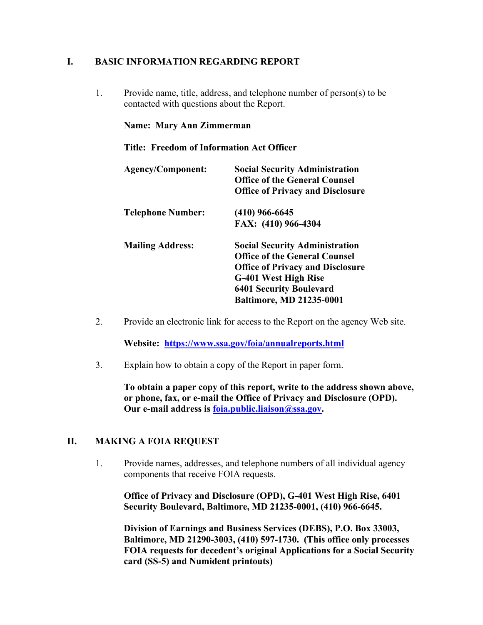## **I. BASIC INFORMATION REGARDING REPORT**

1. Provide name, title, address, and telephone number of person(s) to be contacted with questions about the Report.

#### **Name: Mary Ann Zimmerman**

#### **Title: Freedom of Information Act Officer**

| <b>Agency/Component:</b> | <b>Social Security Administration</b><br><b>Office of the General Counsel</b><br><b>Office of Privacy and Disclosure</b>                                                                                              |
|--------------------------|-----------------------------------------------------------------------------------------------------------------------------------------------------------------------------------------------------------------------|
| <b>Telephone Number:</b> | $(410)$ 966-6645                                                                                                                                                                                                      |
|                          | FAX: (410) 966-4304                                                                                                                                                                                                   |
| <b>Mailing Address:</b>  | <b>Social Security Administration</b><br><b>Office of the General Counsel</b><br><b>Office of Privacy and Disclosure</b><br>G-401 West High Rise<br><b>6401 Security Boulevard</b><br><b>Baltimore, MD 21235-0001</b> |

2. Provide an electronic link for access to the Report on the agency Web site.

**Website: <https://www.ssa.gov/foia/annualreports.html>**

3. Explain how to obtain a copy of the Report in paper form.

**To obtain a paper copy of this report, write to the address shown above, or phone, fax, or e-mail the Office of Privacy and Disclosure (OPD). Our e-mail address is foia.public.liaison@ssa.gov.**

#### **II. MAKING A FOIA REQUEST**

1. Provide names, addresses, and telephone numbers of all individual agency components that receive FOIA requests.

**Office of Privacy and Disclosure (OPD), G-401 West High Rise, 6401 Security Boulevard, Baltimore, MD 21235-0001, (410) 966-6645.**

**Division of Earnings and Business Services (DEBS), P.O. Box 33003, Baltimore, MD 21290-3003, (410) 597-1730. (This office only processes FOIA requests for decedent's original Applications for a Social Security card (SS-5) and Numident printouts)**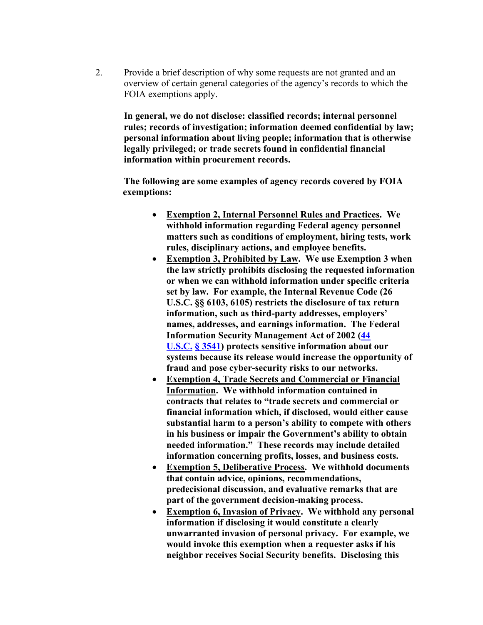2. Provide a brief description of why some requests are not granted and an overview of certain general categories of the agency's records to which the FOIA exemptions apply.

**In general, we do not disclose: classified records; internal personnel rules; records of investigation; information deemed confidential by law; personal information about living people; information that is otherwise legally privileged; or trade secrets found in confidential financial information within procurement records.**

**The following are some examples of agency records covered by FOIA exemptions:**

- **Exemption 2, Internal Personnel Rules and Practices. We withhold information regarding Federal agency personnel matters such as conditions of employment, hiring tests, work rules, disciplinary actions, and employee benefits.**
- **Exemption 3, Prohibited by Law. We use Exemption 3 when the law strictly prohibits disclosing the requested information or when we can withhold information under specific criteria set by law. For example, the Internal Revenue Code (26 U.S.C. §§ 6103, 6105) restricts the disclosure of tax return information, such as third-party addresses, employers' names, addresses, and earnings information. The Federal Information Security Management Act of 2002 [\(44](http://en.wikipedia.org/wiki/Title_44_of_the_United_States_Code)  [U.S.C.](http://en.wikipedia.org/wiki/Title_44_of_the_United_States_Code) § [3541\)](http://www.law.cornell.edu/uscode/44/3541.html) protects sensitive information about our systems because its release would increase the opportunity of fraud and pose cyber-security risks to our networks.**
- **Exemption 4, Trade Secrets and Commercial or Financial Information. We withhold information contained in contracts that relates to "trade secrets and commercial or financial information which, if disclosed, would either cause substantial harm to a person's ability to compete with others in his business or impair the Government's ability to obtain needed information." These records may include detailed information concerning profits, losses, and business costs.**
- **Exemption 5, Deliberative Process. We withhold documents that contain advice, opinions, recommendations, predecisional discussion, and evaluative remarks that are part of the government decision-making process.**
- **Exemption 6, Invasion of Privacy. We withhold any personal information if disclosing it would constitute a clearly unwarranted invasion of personal privacy. For example, we would invoke this exemption when a requester asks if his neighbor receives Social Security benefits. Disclosing this**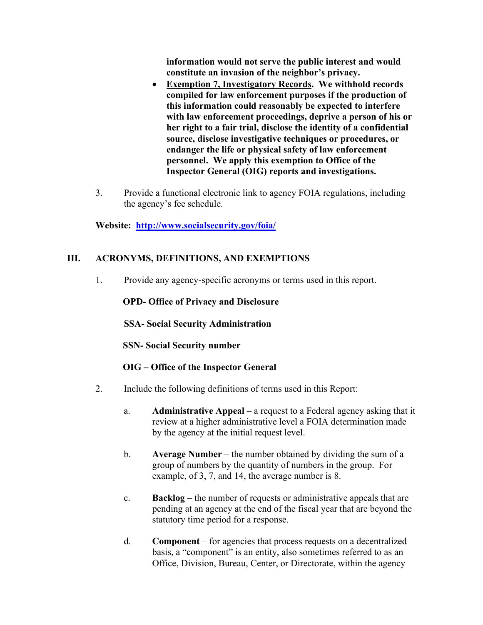**information would not serve the public interest and would constitute an invasion of the neighbor's privacy.**

- **Exemption 7, Investigatory Records. We withhold records compiled for law enforcement purposes if the production of this information could reasonably be expected to interfere with law enforcement proceedings, deprive a person of his or her right to a fair trial, disclose the identity of a confidential source, disclose investigative techniques or procedures, or endanger the life or physical safety of law enforcement personnel. We apply this exemption to Office of the Inspector General (OIG) reports and investigations.**
- 3. Provide a functional electronic link to agency FOIA regulations, including the agency's fee schedule.

**Website: <http://www.socialsecurity.gov/foia/>**

## **III. ACRONYMS, DEFINITIONS, AND EXEMPTIONS**

1. Provide any agency-specific acronyms or terms used in this report.

## **OPD- Office of Privacy and Disclosure**

**SSA- Social Security Administration**

**SSN- Social Security number**

## **OIG – Office of the Inspector General**

- 2. Include the following definitions of terms used in this Report:
	- a. **Administrative Appeal** a request to a Federal agency asking that it review at a higher administrative level a FOIA determination made by the agency at the initial request level.
	- b. **Average Number** the number obtained by dividing the sum of a group of numbers by the quantity of numbers in the group. For example, of 3, 7, and 14, the average number is 8.
	- c. **Backlog** the number of requests or administrative appeals that are pending at an agency at the end of the fiscal year that are beyond the statutory time period for a response.
	- d. **Component** for agencies that process requests on a decentralized basis, a "component" is an entity, also sometimes referred to as an Office, Division, Bureau, Center, or Directorate, within the agency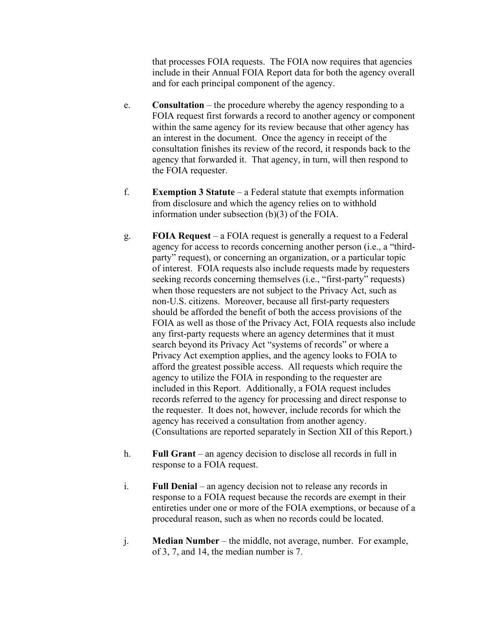that processes FOIA requests. The FOIA now requires that agencies include in their Annual FOIA Report data for both the agency overall and for each principal component of the agency.

- e. **Consultation** the procedure whereby the agency responding to a FOIA request first forwards a record to another agency or component within the same agency for its review because that other agency has an interest in the document. Once the agency in receipt of the consultation finishes its review of the record, it responds back to the agency that forwarded it. That agency, in turn, will then respond to the FOIA requester.
- f. **Exemption 3 Statute** a Federal statute that exempts information from disclosure and which the agency relies on to withhold information under subsection (b)(3) of the FOIA.
- g. **FOIA Request** a FOIA request is generally a request to a Federal agency for access to records concerning another person (i.e., a "thirdparty" request), or concerning an organization, or a particular topic of interest. FOIA requests also include requests made by requesters seeking records concerning themselves (i.e., "first-party" requests) when those requesters are not subject to the Privacy Act, such as non-U.S. citizens. Moreover, because all first-party requesters should be afforded the benefit of both the access provisions of the FOIA as well as those of the Privacy Act, FOIA requests also include any first-party requests where an agency determines that it must search beyond its Privacy Act "systems of records" or where a Privacy Act exemption applies, and the agency looks to FOIA to afford the greatest possible access. All requests which require the agency to utilize the FOIA in responding to the requester are included in this Report. Additionally, a FOIA request includes records referred to the agency for processing and direct response to the requester. It does not, however, include records for which the agency has received a consultation from another agency. (Consultations are reported separately in Section XII of this Report.)
- h. **Full Grant** an agency decision to disclose all records in full in response to a FOIA request.
- i. **Full Denial** an agency decision not to release any records in response to a FOIA request because the records are exempt in their entireties under one or more of the FOIA exemptions, or because of a procedural reason, such as when no records could be located.
- j. **Median Number** the middle, not average, number. For example, of 3, 7, and 14, the median number is 7.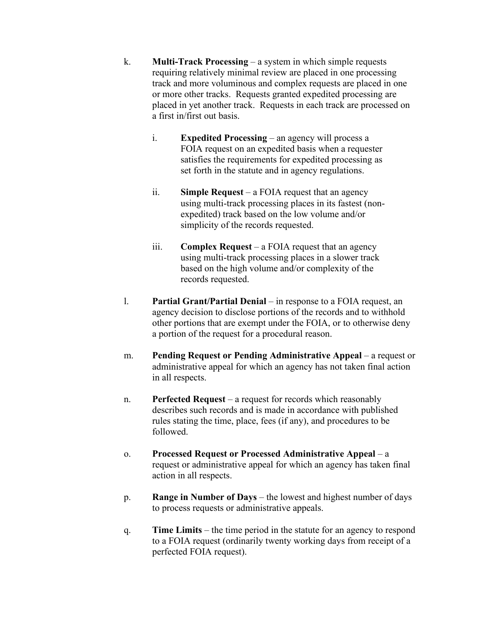- k. **Multi-Track Processing** a system in which simple requests requiring relatively minimal review are placed in one processing track and more voluminous and complex requests are placed in one or more other tracks. Requests granted expedited processing are placed in yet another track. Requests in each track are processed on a first in/first out basis.
	- i. **Expedited Processing** an agency will process a FOIA request on an expedited basis when a requester satisfies the requirements for expedited processing as set forth in the statute and in agency regulations.
	- ii. **Simple Request** a FOIA request that an agency using multi-track processing places in its fastest (nonexpedited) track based on the low volume and/or simplicity of the records requested.
	- iii. **Complex Request** a FOIA request that an agency using multi-track processing places in a slower track based on the high volume and/or complexity of the records requested.
- l. **Partial Grant/Partial Denial** in response to a FOIA request, an agency decision to disclose portions of the records and to withhold other portions that are exempt under the FOIA, or to otherwise deny a portion of the request for a procedural reason.
- m. **Pending Request or Pending Administrative Appeal** a request or administrative appeal for which an agency has not taken final action in all respects.
- n. **Perfected Request** a request for records which reasonably describes such records and is made in accordance with published rules stating the time, place, fees (if any), and procedures to be followed.
- o. **Processed Request or Processed Administrative Appeal** a request or administrative appeal for which an agency has taken final action in all respects.
- p. **Range in Number of Days** the lowest and highest number of days to process requests or administrative appeals.
- q. **Time Limits** the time period in the statute for an agency to respond to a FOIA request (ordinarily twenty working days from receipt of a perfected FOIA request).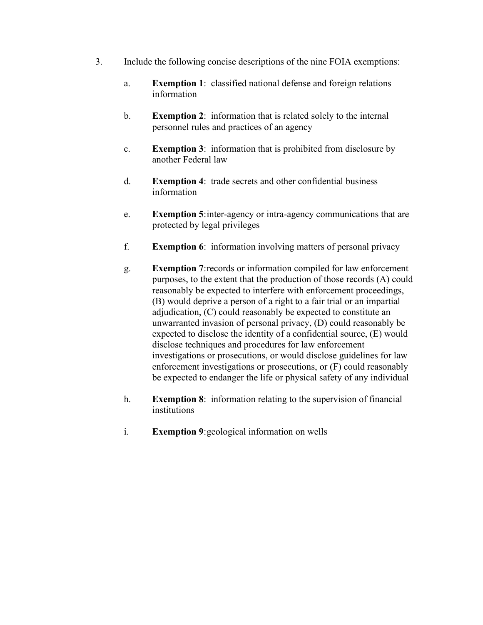- 3. Include the following concise descriptions of the nine FOIA exemptions:
	- a. **Exemption 1**: classified national defense and foreign relations information
	- b. **Exemption 2**: information that is related solely to the internal personnel rules and practices of an agency
	- c. **Exemption 3**: information that is prohibited from disclosure by another Federal law
	- d. **Exemption 4**: trade secrets and other confidential business information
	- e. **Exemption 5**:inter-agency or intra-agency communications that are protected by legal privileges
	- f. **Exemption 6**: information involving matters of personal privacy
	- g. **Exemption 7**:records or information compiled for law enforcement purposes, to the extent that the production of those records (A) could reasonably be expected to interfere with enforcement proceedings, (B) would deprive a person of a right to a fair trial or an impartial adjudication, (C) could reasonably be expected to constitute an unwarranted invasion of personal privacy, (D) could reasonably be expected to disclose the identity of a confidential source, (E) would disclose techniques and procedures for law enforcement investigations or prosecutions, or would disclose guidelines for law enforcement investigations or prosecutions, or (F) could reasonably be expected to endanger the life or physical safety of any individual
	- h. **Exemption 8**: information relating to the supervision of financial institutions
	- i. **Exemption 9**:geological information on wells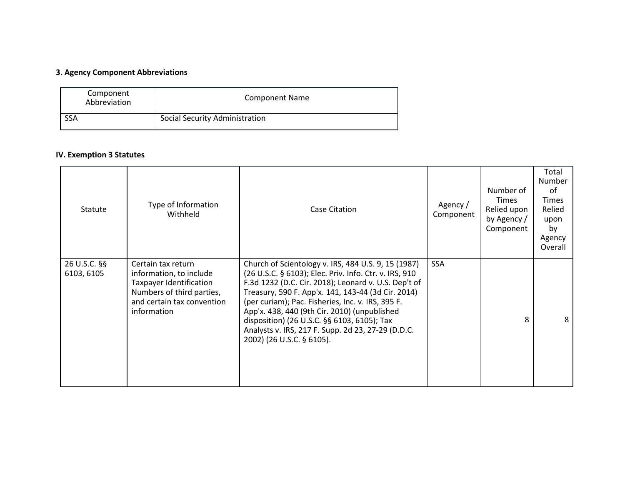## **3. Agency Component Abbreviations**

| Component<br>Abbreviation | <b>Component Name</b>          |
|---------------------------|--------------------------------|
| <b>SSA</b>                | Social Security Administration |

## **IV. Exemption 3 Statutes**

| Statute                    | Type of Information<br>Withheld                                                                                                                           | Case Citation                                                                                                                                                                                                                                                                                                                                                                                                                                                      | Agency /<br>Component | Number of<br>Times<br>Relied upon<br>by Agency /<br>Component | Total<br>Number<br>$\sigma$ f<br><b>Times</b><br>Relied<br>upon<br>by<br>Agency<br>Overall |
|----------------------------|-----------------------------------------------------------------------------------------------------------------------------------------------------------|--------------------------------------------------------------------------------------------------------------------------------------------------------------------------------------------------------------------------------------------------------------------------------------------------------------------------------------------------------------------------------------------------------------------------------------------------------------------|-----------------------|---------------------------------------------------------------|--------------------------------------------------------------------------------------------|
| 26 U.S.C. §§<br>6103, 6105 | Certain tax return<br>information, to include<br><b>Taxpayer Identification</b><br>Numbers of third parties,<br>and certain tax convention<br>information | Church of Scientology v. IRS, 484 U.S. 9, 15 (1987)<br>(26 U.S.C. § 6103); Elec. Priv. Info. Ctr. v. IRS, 910<br>F.3d 1232 (D.C. Cir. 2018); Leonard v. U.S. Dep't of<br>Treasury, 590 F. App'x. 141, 143-44 (3d Cir. 2014)<br>(per curiam); Pac. Fisheries, Inc. v. IRS, 395 F.<br>App'x. 438, 440 (9th Cir. 2010) (unpublished<br>disposition) (26 U.S.C. §§ 6103, 6105); Tax<br>Analysts v. IRS, 217 F. Supp. 2d 23, 27-29 (D.D.C.<br>2002) (26 U.S.C. § 6105). | <b>SSA</b>            | 8                                                             | 8                                                                                          |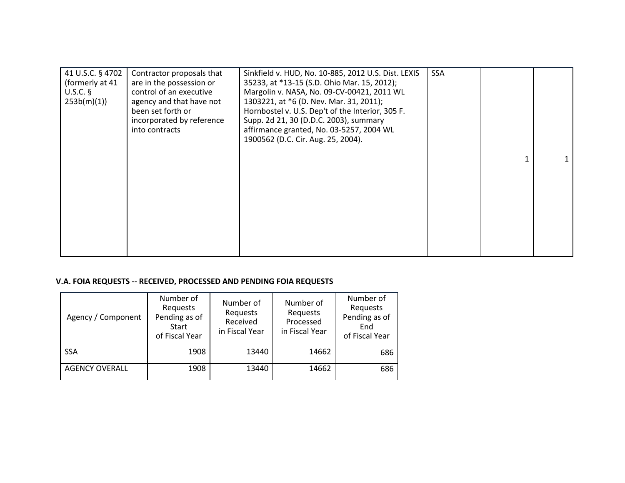| 41 U.S.C. § 4702<br>(formerly at 41<br>$U.S.C.$ §<br>253b(m)(1) | Contractor proposals that<br>are in the possession or<br>control of an executive<br>agency and that have not<br>been set forth or<br>incorporated by reference<br>into contracts | Sinkfield v. HUD, No. 10-885, 2012 U.S. Dist. LEXIS<br>35233, at *13-15 (S.D. Ohio Mar. 15, 2012);<br>Margolin v. NASA, No. 09-CV-00421, 2011 WL<br>1303221, at *6 (D. Nev. Mar. 31, 2011);<br>Hornbostel v. U.S. Dep't of the Interior, 305 F.<br>Supp. 2d 21, 30 (D.D.C. 2003), summary<br>affirmance granted, No. 03-5257, 2004 WL<br>1900562 (D.C. Cir. Aug. 25, 2004). | <b>SSA</b> |  |
|-----------------------------------------------------------------|----------------------------------------------------------------------------------------------------------------------------------------------------------------------------------|-----------------------------------------------------------------------------------------------------------------------------------------------------------------------------------------------------------------------------------------------------------------------------------------------------------------------------------------------------------------------------|------------|--|
|                                                                 |                                                                                                                                                                                  |                                                                                                                                                                                                                                                                                                                                                                             |            |  |

## **V.A. FOIA REQUESTS -- RECEIVED, PROCESSED AND PENDING FOIA REQUESTS**

| Agency / Component    | Number of<br>Requests<br>Pending as of<br>Start<br>of Fiscal Year | Number of<br>Requests<br>Received<br>in Fiscal Year | Number of<br>Requests<br>Processed<br>in Fiscal Year | Number of<br>Requests<br>Pending as of<br>End<br>of Fiscal Year |
|-----------------------|-------------------------------------------------------------------|-----------------------------------------------------|------------------------------------------------------|-----------------------------------------------------------------|
| <b>SSA</b>            | 1908                                                              | 13440                                               | 14662                                                | 686                                                             |
| <b>AGENCY OVERALL</b> | 1908                                                              | 13440                                               | 14662                                                | 686                                                             |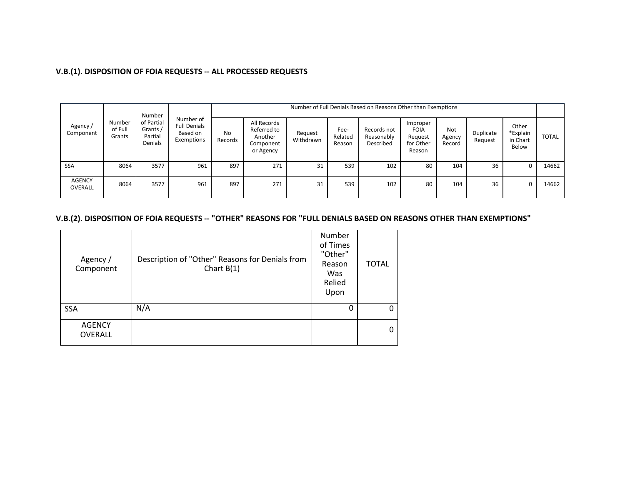## **V.B.(1). DISPOSITION OF FOIA REQUESTS -- ALL PROCESSED REQUESTS**

| Agency/<br>Component     |                             | Number<br>of Partial<br>Grants /<br>Partial<br>Denials | Number of<br><b>Full Denials</b><br>Based on<br>Exemptions |                      | Number of Full Denials Based on Reasons Other than Exemptions   |                      |                           |                                        |                                                           |                         |                      |                                        |              |
|--------------------------|-----------------------------|--------------------------------------------------------|------------------------------------------------------------|----------------------|-----------------------------------------------------------------|----------------------|---------------------------|----------------------------------------|-----------------------------------------------------------|-------------------------|----------------------|----------------------------------------|--------------|
|                          | Number<br>of Full<br>Grants |                                                        |                                                            | <b>No</b><br>Records | All Records<br>Referred to<br>Another<br>Component<br>or Agency | Request<br>Withdrawn | Fee-<br>Related<br>Reason | Records not<br>Reasonably<br>Described | Improper<br><b>FOIA</b><br>Request<br>for Other<br>Reason | Not<br>Agency<br>Record | Duplicate<br>Request | Other<br>*Explain<br>in Chart<br>Below | <b>TOTAL</b> |
| <b>SSA</b>               | 8064                        | 3577                                                   | 961                                                        | 897                  | 271                                                             | 31                   | 539                       | 102                                    | 80                                                        | 104                     | 36                   | U                                      | 14662        |
| <b>AGENCY</b><br>OVERALL | 8064                        | 3577                                                   | 961                                                        | 897                  | 271                                                             | 31                   | 539                       | 102                                    | 80                                                        | 104                     | 36                   | 0                                      | 14662        |

## **V.B.(2). DISPOSITION OF FOIA REQUESTS -- "OTHER" REASONS FOR "FULL DENIALS BASED ON REASONS OTHER THAN EXEMPTIONS"**

| Agency /<br>Component           | Description of "Other" Reasons for Denials from<br>Chart $B(1)$ | Number<br>of Times<br>"Other"<br>Reason<br>Was<br>Relied<br>Upon | <b>TOTAL</b> |
|---------------------------------|-----------------------------------------------------------------|------------------------------------------------------------------|--------------|
| <b>SSA</b>                      | N/A                                                             |                                                                  | 0            |
| <b>AGENCY</b><br><b>OVERALL</b> |                                                                 |                                                                  | $\mathbf{0}$ |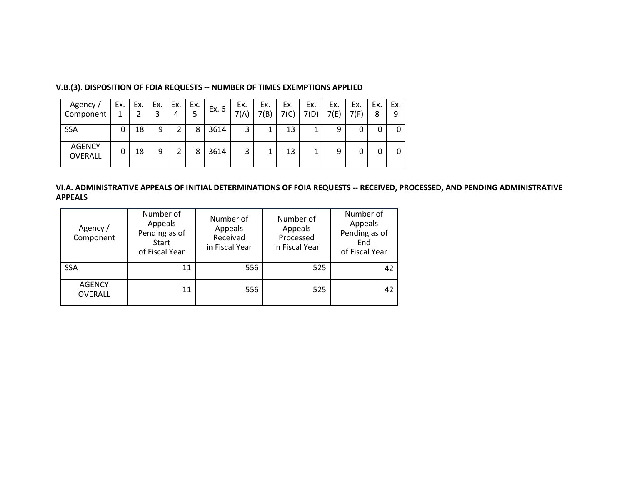| Agency /<br>Component           | Ex. | Ex. | Ex. | Ex.<br>4 | Ex. | Ex. 6 | Ex.<br>7(A) | Ex.<br>7(B) | Ex.<br>7(C) | Ex.<br>7(D) | Ex.<br>7(E) | Ex.<br>7(F) | Ex.<br>8 | Ex.<br>9 |
|---------------------------------|-----|-----|-----|----------|-----|-------|-------------|-------------|-------------|-------------|-------------|-------------|----------|----------|
| <b>SSA</b>                      | 0   | 18  | 9   | 2        | 8   | 3614  | 3           | 1           | 13          | 1           | 9           |             |          | 0        |
| <b>AGENCY</b><br><b>OVERALL</b> | 0   | 18  | 9   | າ        | 8   | 3614  | 3           | 1           | 13          | 1           | 9           |             |          | 0        |

#### **V.B.(3). DISPOSITION OF FOIA REQUESTS -- NUMBER OF TIMES EXEMPTIONS APPLIED**

#### **VI.A. ADMINISTRATIVE APPEALS OF INITIAL DETERMINATIONS OF FOIA REQUESTS -- RECEIVED, PROCESSED, AND PENDING ADMINISTRATIVE APPEALS**

| Agency /<br>Component    | Number of<br>Appeals<br>Pending as of<br>Start<br>of Fiscal Year | Number of<br>Appeals<br>Received<br>in Fiscal Year | Number of<br>Appeals<br>Processed<br>in Fiscal Year | Number of<br>Appeals<br>Pending as of<br>End<br>of Fiscal Year |  |
|--------------------------|------------------------------------------------------------------|----------------------------------------------------|-----------------------------------------------------|----------------------------------------------------------------|--|
| <b>SSA</b>               | 11                                                               | 556                                                | 525                                                 | 42                                                             |  |
| <b>AGENCY</b><br>OVERALL | 11                                                               | 556                                                | 525                                                 | 42                                                             |  |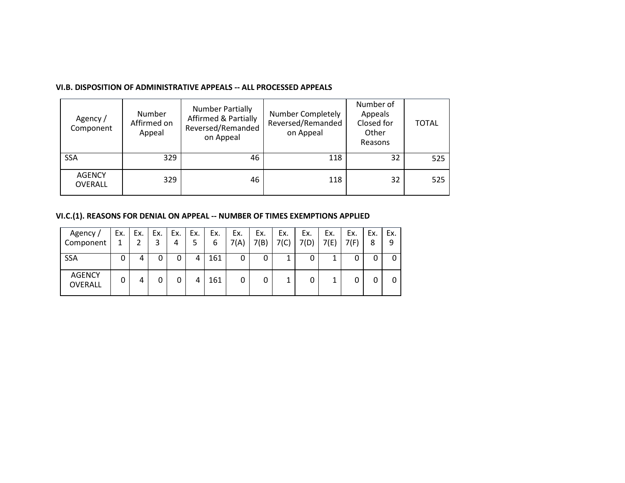#### **VI.B. DISPOSITION OF ADMINISTRATIVE APPEALS -- ALL PROCESSED APPEALS**

| Agency /<br>Component           | Number<br>Affirmed on<br>Appeal | <b>Number Partially</b><br><b>Affirmed &amp; Partially</b><br>Reversed/Remanded<br>on Appeal | <b>Number Completely</b><br>Reversed/Remanded<br>on Appeal | Number of<br>Appeals<br>Closed for<br>Other<br>Reasons | <b>TOTAL</b> |
|---------------------------------|---------------------------------|----------------------------------------------------------------------------------------------|------------------------------------------------------------|--------------------------------------------------------|--------------|
| <b>SSA</b>                      | 329                             | 46                                                                                           | 118                                                        | 32                                                     | 525          |
| <b>AGENCY</b><br><b>OVERALL</b> | 329                             | 46                                                                                           | 118                                                        | 32                                                     | 525          |

**VI.C.(1). REASONS FOR DENIAL ON APPEAL -- NUMBER OF TIMES EXEMPTIONS APPLIED**

| Agency/<br>Component            | Ex. | Ex. | Ex. | Ex.<br>4 | Ex.<br>5 | Ex.<br>6 | Ex.<br>7(A) | Ex.<br>7(B) | Ex.<br>7(C) | Ex.<br>7(D) | Ex.<br>7(E) | Ex.<br>7(F) | Ex.<br>8 | Ex.<br>9 |
|---------------------------------|-----|-----|-----|----------|----------|----------|-------------|-------------|-------------|-------------|-------------|-------------|----------|----------|
| SSA                             | 0   | 4   | 0   | 0        | 4        | 161      | 0           |             | 1           |             | 1           |             |          |          |
| <b>AGENCY</b><br><b>OVERALL</b> | 0   | 4   | 0   | 0        | 4        | 161      | 0           |             |             |             |             |             |          |          |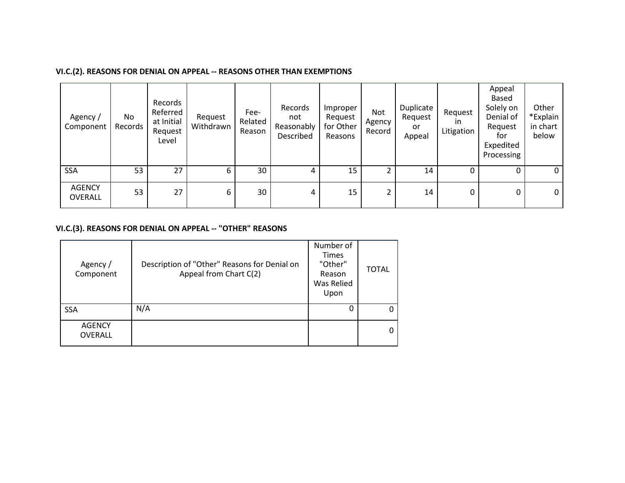## **VI.C.(2). REASONS FOR DENIAL ON APPEAL -- REASONS OTHER THAN EXEMPTIONS**

| Agency/<br>Component     | No<br>Records | Records<br>Referred<br>at Initial<br>Request<br>Level | Request<br>Withdrawn | Fee-<br>Related<br>Reason | Records<br>not<br>Reasonably<br>Described | Improper<br>Request<br>for Other<br>Reasons | Not<br>Agency<br>Record | Duplicate<br>Request<br>or<br>Appeal | Request<br>ın<br>Litigation | Appeal<br>Based<br>Solely on<br>Denial of<br>Request<br>tor<br>Expedited<br>Processing | Other<br>*Explain<br>in chart<br>below |
|--------------------------|---------------|-------------------------------------------------------|----------------------|---------------------------|-------------------------------------------|---------------------------------------------|-------------------------|--------------------------------------|-----------------------------|----------------------------------------------------------------------------------------|----------------------------------------|
| <b>SSA</b>               | 53            | 27                                                    | 6                    | 30                        | 4                                         | 15                                          |                         | 14                                   | 0                           |                                                                                        | 0                                      |
| <b>AGENCY</b><br>OVERALL | 53            | 27                                                    | 6                    | 30                        | 4                                         | 15                                          |                         | 14                                   | 0                           | 0                                                                                      | 0                                      |

## **VI.C.(3). REASONS FOR DENIAL ON APPEAL -- "OTHER" REASONS**

| Agency /<br>Component           | Description of "Other" Reasons for Denial on<br>Appeal from Chart C(2) | Number of<br><b>Times</b><br>"Other"<br>Reason<br>Was Relied<br>Upon | <b>TOTAL</b> |
|---------------------------------|------------------------------------------------------------------------|----------------------------------------------------------------------|--------------|
| <b>SSA</b>                      | N/A                                                                    |                                                                      | 0            |
| <b>AGENCY</b><br><b>OVERALL</b> |                                                                        |                                                                      | 0            |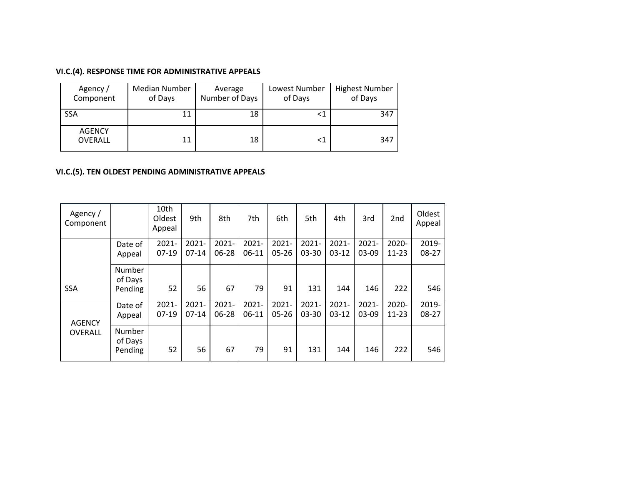## **VI.C.(4). RESPONSE TIME FOR ADMINISTRATIVE APPEALS**

| Agency /<br>Component           | Median Number<br>of Days | Average<br>Number of Days | Lowest Number<br>of Days | <b>Highest Number</b><br>of Days |
|---------------------------------|--------------------------|---------------------------|--------------------------|----------------------------------|
| <b>SSA</b>                      | 11                       | 18                        | <1                       | 347                              |
| <b>AGENCY</b><br><b>OVERALL</b> | 11                       | 18                        | <1                       | 347                              |

## **VI.C.(5). TEN OLDEST PENDING ADMINISTRATIVE APPEALS**

| Agency/<br>Component |                              | 10th<br>Oldest<br>Appeal | 9th                 | 8th                   | 7th                 | 6th                   | 5th               | 4th                 | 3rd                 | 2nd                | Oldest<br>Appeal |
|----------------------|------------------------------|--------------------------|---------------------|-----------------------|---------------------|-----------------------|-------------------|---------------------|---------------------|--------------------|------------------|
|                      | Date of<br>Appeal            | $2021 -$<br>$07-19$      | $2021 -$<br>$07-14$ | $2021 -$<br>06-28     | $2021 -$<br>$06-11$ | $2021 -$<br>$05 - 26$ | $2021 -$<br>03-30 | $2021 -$<br>$03-12$ | $2021 -$<br>03-09   | 2020-<br>$11 - 23$ | 2019-<br>08-27   |
| <b>SSA</b>           | Number<br>of Days<br>Pending | 52                       | 56                  | 67                    | 79                  | 91                    | 131               | 144                 | 146                 | 222                | 546              |
| <b>AGENCY</b>        | Date of<br>Appeal            | $2021 -$<br>$07-19$      | $2021 -$<br>$07-14$ | $2021 -$<br>$06 - 28$ | $2021 -$<br>$06-11$ | $2021 -$<br>$05 - 26$ | $2021 -$<br>03-30 | $2021 -$<br>$03-12$ | $2021 -$<br>$03-09$ | 2020-<br>$11 - 23$ | 2019-<br>08-27   |
| <b>OVERALL</b>       | Number<br>of Days<br>Pending | 52                       | 56                  | 67                    | 79                  | 91                    | 131               | 144                 | 146                 | 222                | 546              |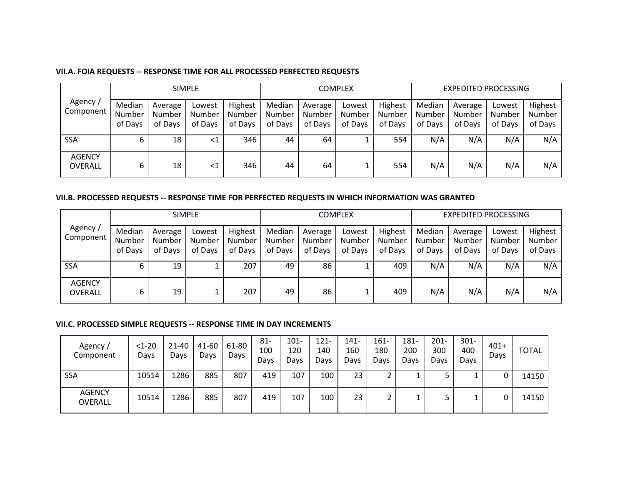#### **VII.A. FOIA REQUESTS -- RESPONSE TIME FOR ALL PROCESSED PERFECTED REQUESTS**

|                          |                             |                              | <b>SIMPLE</b>               |                              | <b>COMPLEX</b>              |                              |                             |                                     | <b>EXPEDITED PROCESSING</b> |                              |                             |                              |
|--------------------------|-----------------------------|------------------------------|-----------------------------|------------------------------|-----------------------------|------------------------------|-----------------------------|-------------------------------------|-----------------------------|------------------------------|-----------------------------|------------------------------|
| Agency/<br>Component     | Median<br>Number<br>of Days | Average<br>Number<br>of Days | Lowest<br>Number<br>of Days | Highest<br>Number<br>of Days | Median<br>Number<br>of Days | Average<br>Number<br>of Days | Lowest<br>Number<br>of Days | Highest<br><b>Number</b><br>of Days | Median<br>Number<br>of Days | Average<br>Number<br>of Days | Lowest<br>Number<br>of Days | Highest<br>Number<br>of Days |
| <b>SSA</b>               |                             | 18                           | $\leq$ 1                    | 346                          | 44                          | 64                           |                             | 554                                 | N/A                         | N/A                          | N/A                         | N/A                          |
| <b>AGENCY</b><br>OVERALL | ь                           | 18                           | $\leq 1$                    | 346                          | 44                          | 64                           |                             | 554                                 | N/A                         | N/A                          | N/A                         | N/A                          |

#### **VII.B. PROCESSED REQUESTS -- RESPONSE TIME FOR PERFECTED REQUESTS IN WHICH INFORMATION WAS GRANTED**

|                                 |                             |                              | <b>SIMPLE</b>               |                              |                             |                              | <b>COMPLEX</b>              |                              |                             | <b>EXPEDITED PROCESSING</b>  |                             |                              |  |
|---------------------------------|-----------------------------|------------------------------|-----------------------------|------------------------------|-----------------------------|------------------------------|-----------------------------|------------------------------|-----------------------------|------------------------------|-----------------------------|------------------------------|--|
| Agency /<br>Component           | Median<br>Number<br>of Days | Average<br>Number<br>of Days | Lowest<br>Number<br>of Days | Highest<br>Number<br>of Days | Median<br>Number<br>of Days | Average<br>Number<br>of Days | Lowest<br>Number<br>of Days | Highest<br>Number<br>of Days | Median<br>Number<br>of Days | Average<br>Number<br>of Days | Lowest<br>Number<br>of Days | Highest<br>Number<br>of Days |  |
| <b>SSA</b>                      | ь                           | 19                           |                             | 207                          | 49                          | 86                           |                             | 409                          | N/A                         | N/A                          | N/A                         | N/A                          |  |
| <b>AGENCY</b><br><b>OVERALL</b> | 6                           | 19                           |                             | 207                          | 49                          | 86                           |                             | 409                          | N/A                         | N/A                          | N/A                         | N/A                          |  |

#### **VII.C. PROCESSED SIMPLE REQUESTS -- RESPONSE TIME IN DAY INCREMENTS**

| Agency/<br>Component     | $<1-20$<br>Days | $21 - 40$<br>Days | 41-60<br>Days | 61-80<br>Days | $81 -$<br>100<br>Days | $101 -$<br>120<br>Days | $121 -$<br>140<br>Davs | $141 -$<br>160<br>Days | $161 -$<br>180<br>Days | $181 -$<br>200<br>Days | $201 -$<br>300<br>Days | $301 -$<br>400<br>Days | $401+$<br>Days | TOTAL |
|--------------------------|-----------------|-------------------|---------------|---------------|-----------------------|------------------------|------------------------|------------------------|------------------------|------------------------|------------------------|------------------------|----------------|-------|
| <b>SSA</b>               | 10514           | 1286              | 885           | 807           | 419                   | 107                    | 100                    | 23                     | ∠                      |                        |                        |                        | 0              | 14150 |
| <b>AGENCY</b><br>OVERALL | 10514           | 1286              | 885           | 807           | 419                   | 107                    | 100                    | 23                     | ◠                      |                        |                        |                        | 0              | 14150 |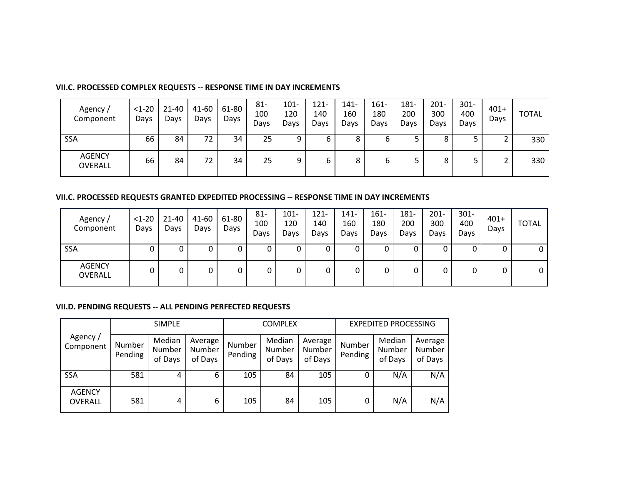#### **VII.C. PROCESSED COMPLEX REQUESTS -- RESPONSE TIME IN DAY INCREMENTS**

| Agency/<br>Component     | $<1-20$<br>Days | $21 - 40$<br>Days | 41-60<br>Days | 61-80<br>Days | $81 -$<br>100<br>Days | $101 -$<br>120<br>Days | $121 -$<br>140<br>Days | $141 -$<br>160<br>Davs | $161 -$<br>180<br>Days | 181-<br>200<br>Days | $201 -$<br>300<br>Days | $301 -$<br>400<br>Days | $401+$<br>Days | <b>TOTAL</b> |
|--------------------------|-----------------|-------------------|---------------|---------------|-----------------------|------------------------|------------------------|------------------------|------------------------|---------------------|------------------------|------------------------|----------------|--------------|
| <b>SSA</b>               | 66              | 84                | 72            | 34            | 25                    | 9                      | ь                      | ٥                      | ь                      |                     |                        | ┙                      | ∍              | 330          |
| <b>AGENCY</b><br>OVERALL | 66              | 84                | 72            | 34            | 25                    | 9                      | ь                      | 8                      | ь                      |                     |                        | ٮ                      | ∍<br>∠         | 330          |

#### **VII.C. PROCESSED REQUESTS GRANTED EXPEDITED PROCESSING -- RESPONSE TIME IN DAY INCREMENTS**

| Agency/<br>Component     | $<1-20$<br>Days | 21-40<br>Days | 41-60<br>Days | 61-80<br>Days | $81 -$<br>100<br>Days | $101 -$<br>120<br>Days | $121 -$<br>140<br>Days | $141 -$<br>160<br>Days | $161 -$<br>180<br>Days | 181-<br>200<br>Days | $201 -$<br>300<br>Davs | $301 -$<br>400<br>Days | $401+$<br>Days | TOTAL |
|--------------------------|-----------------|---------------|---------------|---------------|-----------------------|------------------------|------------------------|------------------------|------------------------|---------------------|------------------------|------------------------|----------------|-------|
| <b>SSA</b>               |                 |               |               |               | υ                     |                        |                        |                        | U                      |                     |                        |                        | υ              | 0     |
| <b>AGENCY</b><br>OVERALL | 0               |               |               |               | 0                     |                        |                        |                        | 0                      |                     |                        | 0                      | 0              | 0     |

#### **VII.D. PENDING REQUESTS -- ALL PENDING PERFECTED REQUESTS**

| <b>SIMPLE</b>            |                   |                             |                              |                   | <b>COMPLEX</b>              |                              | <b>EXPEDITED PROCESSING</b> |                             |                              |  |
|--------------------------|-------------------|-----------------------------|------------------------------|-------------------|-----------------------------|------------------------------|-----------------------------|-----------------------------|------------------------------|--|
| Agency/<br>Component     | Number<br>Pending | Median<br>Number<br>of Days | Average<br>Number<br>of Days | Number<br>Pending | Median<br>Number<br>of Days | Average<br>Number<br>of Days | Number<br>Pending           | Median<br>Number<br>of Days | Average<br>Number<br>of Days |  |
| SSA                      | 581               | 4                           | 6                            | 105               | 84                          | 105                          | 0                           | N/A                         | N/A                          |  |
| <b>AGENCY</b><br>OVERALL | 581               | 4                           | 6                            | 105               | 84                          | 105                          | 0                           | N/A                         | N/A                          |  |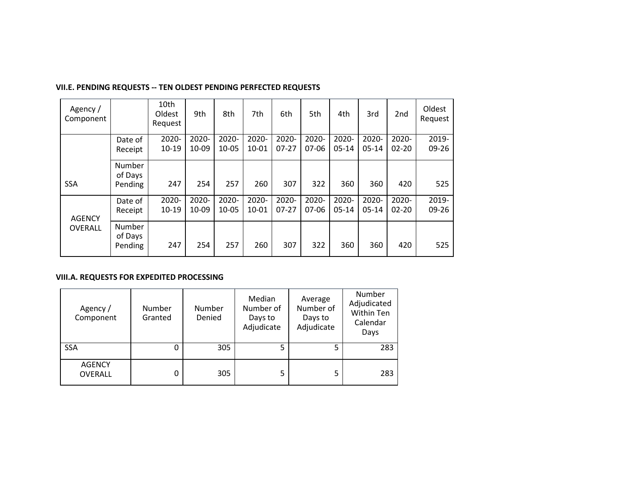| Agency/<br>Component |                              | 10th<br>Oldest<br>Request | 9th            | 8th                | 7th                | 6th                | 5th              | 4th                | 3rd                | 2 <sub>nd</sub>    | Oldest<br>Request  |
|----------------------|------------------------------|---------------------------|----------------|--------------------|--------------------|--------------------|------------------|--------------------|--------------------|--------------------|--------------------|
|                      | Date of<br>Receipt           | 2020-<br>$10 - 19$        | 2020-<br>10-09 | 2020-<br>$10 - 05$ | 2020-<br>$10 - 01$ | 2020-<br>$07-27$   | 2020-<br>07-06   | 2020-<br>$05 - 14$ | 2020-<br>$05-14$   | 2020-<br>$02 - 20$ | 2019-<br>$09 - 26$ |
| <b>SSA</b>           | Number<br>of Days<br>Pending | 247                       | 254            | 257                | 260                | 307                | 322              | 360                | 360                | 420                | 525                |
| <b>AGENCY</b>        | Date of<br>Receipt           | 2020-<br>$10 - 19$        | 2020-<br>10-09 | 2020-<br>10-05     | 2020-<br>$10 - 01$ | 2020-<br>$07 - 27$ | 2020-<br>$07-06$ | 2020-<br>$05 - 14$ | 2020-<br>$05 - 14$ | 2020-<br>$02 - 20$ | 2019-<br>09-26     |
| OVERALL              | Number<br>of Days<br>Pending | 247                       | 254            | 257                | 260                | 307                | 322              | 360                | 360                | 420                | 525                |

#### **VII.E. PENDING REQUESTS -- TEN OLDEST PENDING PERFECTED REQUESTS**

#### **VIII.A. REQUESTS FOR EXPEDITED PROCESSING**

| Agency /<br>Component    | <b>Number</b><br>Granted | Number<br>Denied | Median<br>Number of<br>Days to<br>Adjudicate | Average<br>Number of<br>Days to<br>Adjudicate | Number<br>Adjudicated<br><b>Within Ten</b><br>Calendar<br>Days |
|--------------------------|--------------------------|------------------|----------------------------------------------|-----------------------------------------------|----------------------------------------------------------------|
| <b>SSA</b>               | 0                        | 305              | 5                                            | 5                                             | 283                                                            |
| <b>AGENCY</b><br>OVERALL | 0                        | 305              | 5                                            |                                               | 283                                                            |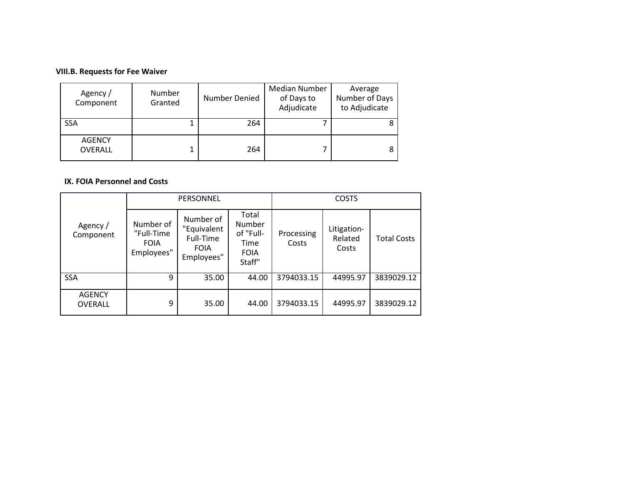## **VIII.B. Requests for Fee Waiver**

| Agency /<br>Component           | Number<br>Granted | Number Denied | Median Number<br>of Days to<br>Adjudicate | Average<br>Number of Days<br>to Adjudicate |
|---------------------------------|-------------------|---------------|-------------------------------------------|--------------------------------------------|
| <b>SSA</b>                      |                   | 264           |                                           |                                            |
| <b>AGENCY</b><br><b>OVERALL</b> |                   | 264           |                                           |                                            |

#### **IX. FOIA Personnel and Costs**

|                                 |                                                      | PERSONNEL                                                          |                                                               | <b>COSTS</b>        |                                 |                    |  |
|---------------------------------|------------------------------------------------------|--------------------------------------------------------------------|---------------------------------------------------------------|---------------------|---------------------------------|--------------------|--|
| Agency /<br>Component           | Number of<br>"Full-Time<br><b>FOIA</b><br>Employees" | Number of<br>"Equivalent<br>Full-Time<br><b>FOIA</b><br>Employees" | Total<br>Number<br>of "Full-<br>Time<br><b>FOIA</b><br>Staff" | Processing<br>Costs | Litigation-<br>Related<br>Costs | <b>Total Costs</b> |  |
| <b>SSA</b>                      | 9                                                    | 35.00                                                              | 44.00                                                         | 3794033.15          | 44995.97                        | 3839029.12         |  |
| <b>AGENCY</b><br><b>OVERALL</b> | 9                                                    | 35.00                                                              | 44.00                                                         | 3794033.15          | 44995.97                        | 3839029.12         |  |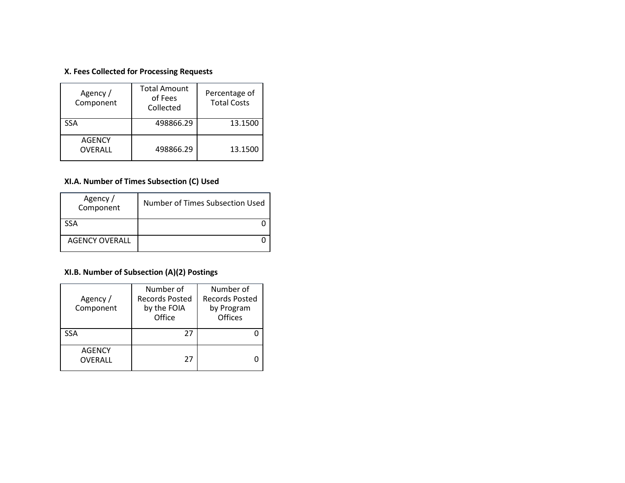## **X. Fees Collected for Processing Requests**

| Agency /<br>Component    | <b>Total Amount</b><br>of Fees<br>Collected | Percentage of<br><b>Total Costs</b> |
|--------------------------|---------------------------------------------|-------------------------------------|
| SSA                      | 498866.29                                   | 13.1500                             |
| <b>AGENCY</b><br>OVERALL | 498866.29                                   | 13.1500                             |

## **XI.A. Number of Times Subsection (C) Used**

| Agency /<br>Component | Number of Times Subsection Used |
|-----------------------|---------------------------------|
| <b>SSA</b>            |                                 |
| <b>AGENCY OVERALL</b> |                                 |

## **XI.B. Number of Subsection (A)(2) Postings**

| Agency /<br>Component    | Number of<br><b>Records Posted</b><br>by the FOIA<br>Office | Number of<br><b>Records Posted</b><br>by Program<br>Offices |
|--------------------------|-------------------------------------------------------------|-------------------------------------------------------------|
| <b>SSA</b>               | 27                                                          |                                                             |
| <b>AGENCY</b><br>OVERALL | 27                                                          |                                                             |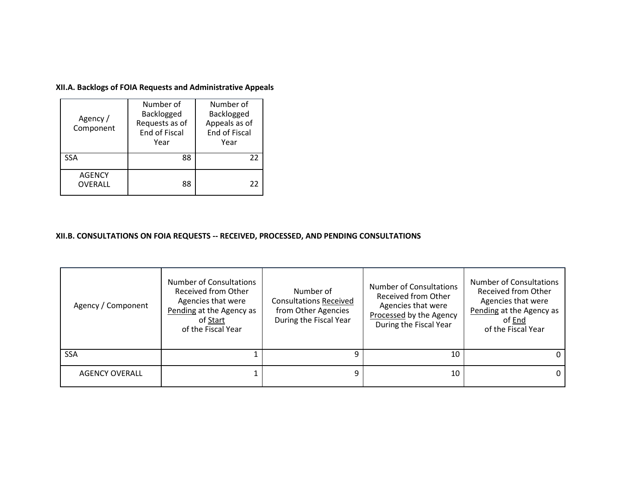**XII.A. Backlogs of FOIA Requests and Administrative Appeals**

| Agency /<br>Component    | Number of<br>Backlogged<br>Requests as of<br>End of Fiscal<br>Year | Number of<br>Backlogged<br>Appeals as of<br>End of Fiscal<br>Year |
|--------------------------|--------------------------------------------------------------------|-------------------------------------------------------------------|
| SSA                      | 88                                                                 | 22                                                                |
| <b>AGENCY</b><br>OVERALL | 88                                                                 | 22                                                                |

#### **XII.B. CONSULTATIONS ON FOIA REQUESTS -- RECEIVED, PROCESSED, AND PENDING CONSULTATIONS**

| Agency / Component    | Number of Consultations<br>Received from Other<br>Agencies that were<br>Pending at the Agency as<br>of Start<br>of the Fiscal Year | Number of<br><b>Consultations Received</b><br>from Other Agencies<br>During the Fiscal Year | Number of Consultations<br>Received from Other<br>Agencies that were<br>Processed by the Agency<br>During the Fiscal Year | <b>Number of Consultations</b><br>Received from Other<br>Agencies that were<br>Pending at the Agency as<br>of End<br>of the Fiscal Year |
|-----------------------|------------------------------------------------------------------------------------------------------------------------------------|---------------------------------------------------------------------------------------------|---------------------------------------------------------------------------------------------------------------------------|-----------------------------------------------------------------------------------------------------------------------------------------|
| <b>SSA</b>            |                                                                                                                                    |                                                                                             | 10                                                                                                                        |                                                                                                                                         |
| <b>AGENCY OVERALL</b> |                                                                                                                                    | 9                                                                                           | 10                                                                                                                        |                                                                                                                                         |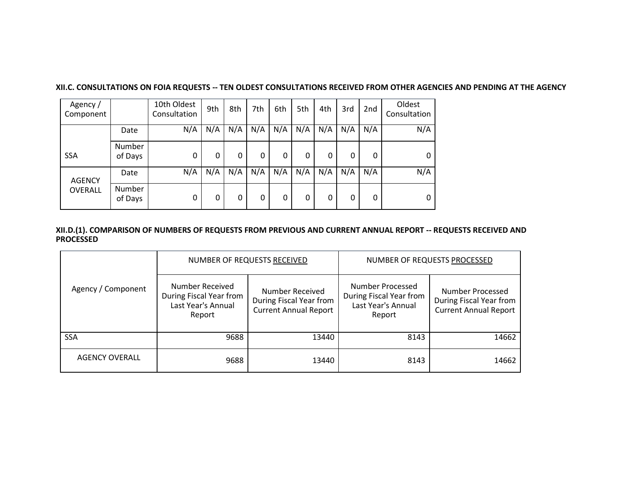| Agency/<br>Component |                          | 10th Oldest<br>Consultation | 9th | 8th | 7th | 6th | 5th | 4th | 3rd | 2 <sub>nd</sub> | Oldest<br>Consultation |
|----------------------|--------------------------|-----------------------------|-----|-----|-----|-----|-----|-----|-----|-----------------|------------------------|
|                      | Date                     | N/A                         | N/A | N/A | N/A | N/A | N/A | N/A | N/A | N/A             | N/A                    |
| <b>SSA</b>           | <b>Number</b><br>of Days | 0                           | 0   | 0   | 0   | 0   | 0   | 0   | 0   | 0               | 0                      |
| <b>AGENCY</b>        | Date                     | N/A                         | N/A | N/A | N/A | N/A | N/A | N/A | N/A | N/A             | N/A                    |
| OVERALL              | <b>Number</b><br>of Days | 0                           | 0   | 0   | 0   | 0   | 0   | 0   | 0   | 0               | 0                      |

#### **XII.C. CONSULTATIONS ON FOIA REQUESTS -- TEN OLDEST CONSULTATIONS RECEIVED FROM OTHER AGENCIES AND PENDING AT THE AGENCY**

#### **XII.D.(1). COMPARISON OF NUMBERS OF REQUESTS FROM PREVIOUS AND CURRENT ANNUAL REPORT -- REQUESTS RECEIVED AND PROCESSED**

|                       |                                                                            | NUMBER OF REQUESTS RECEIVED                                                | NUMBER OF REQUESTS PROCESSED                                                |                                                                             |  |
|-----------------------|----------------------------------------------------------------------------|----------------------------------------------------------------------------|-----------------------------------------------------------------------------|-----------------------------------------------------------------------------|--|
| Agency / Component    | Number Received<br>During Fiscal Year from<br>Last Year's Annual<br>Report | Number Received<br>During Fiscal Year from<br><b>Current Annual Report</b> | Number Processed<br>During Fiscal Year from<br>Last Year's Annual<br>Report | Number Processed<br>During Fiscal Year from<br><b>Current Annual Report</b> |  |
| <b>SSA</b>            | 9688                                                                       | 13440                                                                      | 8143                                                                        | 14662                                                                       |  |
| <b>AGENCY OVERALL</b> | 9688                                                                       | 13440                                                                      | 8143                                                                        | 14662                                                                       |  |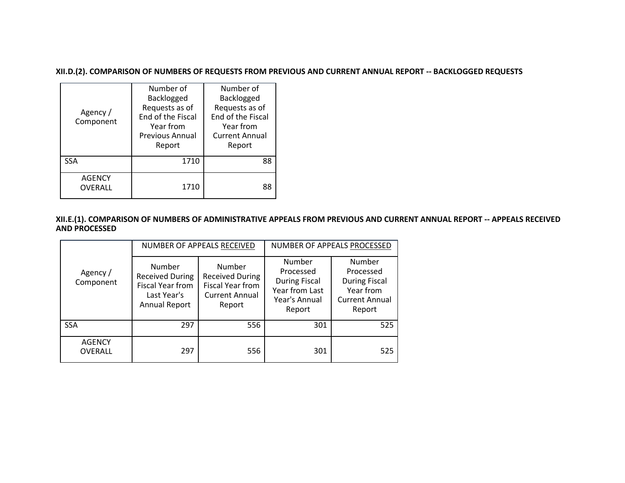**XII.D.(2). COMPARISON OF NUMBERS OF REQUESTS FROM PREVIOUS AND CURRENT ANNUAL REPORT -- BACKLOGGED REQUESTS**

| Agency /<br>Component           | Number of<br>Backlogged<br>Requests as of<br>End of the Fiscal<br>Year from<br><b>Previous Annual</b><br>Report | Number of<br>Backlogged<br>Requests as of<br><b>End of the Fiscal</b><br>Year from<br><b>Current Annual</b><br>Report |
|---------------------------------|-----------------------------------------------------------------------------------------------------------------|-----------------------------------------------------------------------------------------------------------------------|
| <b>SSA</b>                      | 1710                                                                                                            | 88                                                                                                                    |
| <b>AGENCY</b><br><b>OVERALL</b> | 1710                                                                                                            | 88                                                                                                                    |

**XII.E.(1). COMPARISON OF NUMBERS OF ADMINISTRATIVE APPEALS FROM PREVIOUS AND CURRENT ANNUAL REPORT -- APPEALS RECEIVED AND PROCESSED**

|                                 |                                                                                             | NUMBER OF APPEALS RECEIVED                                                                     | NUMBER OF APPEALS PROCESSED                                                              |                                                                                             |  |
|---------------------------------|---------------------------------------------------------------------------------------------|------------------------------------------------------------------------------------------------|------------------------------------------------------------------------------------------|---------------------------------------------------------------------------------------------|--|
| Agency /<br>Component           | Number<br><b>Received During</b><br>Fiscal Year from<br>Last Year's<br><b>Annual Report</b> | Number<br><b>Received During</b><br><b>Fiscal Year from</b><br><b>Current Annual</b><br>Report | Number<br>Processed<br><b>During Fiscal</b><br>Year from Last<br>Year's Annual<br>Report | Number<br>Processed<br><b>During Fiscal</b><br>Year from<br><b>Current Annual</b><br>Report |  |
| <b>SSA</b>                      | 297                                                                                         | 556                                                                                            | 301                                                                                      | 525                                                                                         |  |
| <b>AGENCY</b><br><b>OVERALL</b> | 297                                                                                         | 556                                                                                            | 301                                                                                      | 525                                                                                         |  |